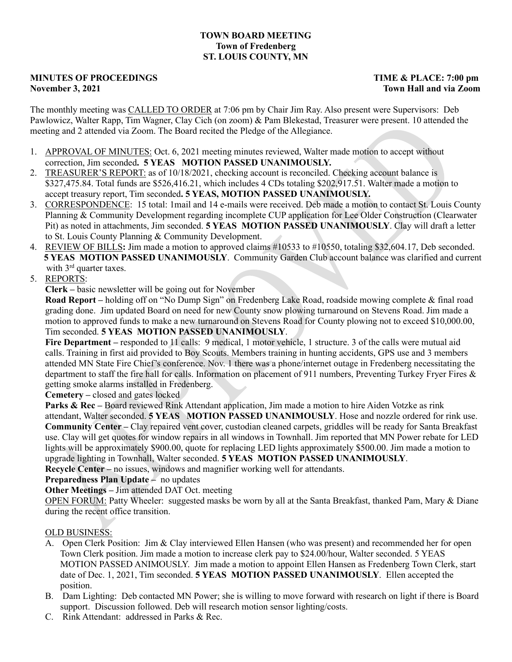## **TOWN BOARD MEETING Town of Fredenberg ST. LOUIS COUNTY, MN**

## **MINUTES OF PROCEEDINGS TIME & PLACE: 7:00 pm November 3, 2021 Town Hall and via Zoom**

The monthly meeting was CALLED TO ORDER at 7:06 pm by Chair Jim Ray. Also present were Supervisors: Deb Pawlowicz, Walter Rapp, Tim Wagner, Clay Cich (on zoom) & Pam Blekestad, Treasurer were present. 10 attended the meeting and 2 attended via Zoom. The Board recited the Pledge of the Allegiance.

- 1. APPROVAL OF MINUTES: Oct. 6, 2021 meeting minutes reviewed, Walter made motion to accept without correction, Jim seconded**. 5 YEAS MOTION PASSED UNANIMOUSLY.**
- 2. TREASURER'S REPORT: as of 10/18/2021, checking account is reconciled. Checking account balance is \$327,475.84. Total funds are \$526,416.21, which includes 4 CDs totaling \$202,917.51. Walter made a motion to accept treasury report, Tim seconded**. 5 YEAS, MOTION PASSED UNANIMOUSLY.**
- 3. CORRESPONDENCE: 15 total: 1mail and 14 e-mails were received. Deb made a motion to contact St. Louis County Planning & Community Development regarding incomplete CUP application for Lee Older Construction (Clearwater Pit) as noted in attachments, Jim seconded. **5 YEAS MOTION PASSED UNANIMOUSLY**. Clay will draft a letter to St. Louis County Planning & Community Development.
- 4. REVIEW OF BILLS**:** Jim made a motion to approved claims #10533 to #10550, totaling \$32,604.17, Deb seconded. **5 YEAS MOTION PASSED UNANIMOUSLY**. Community Garden Club account balance was clarified and current with 3<sup>rd</sup> quarter taxes.
- 5. REPORTS:

**Clerk –** basic newsletter will be going out for November

**Road Report –** holding off on "No Dump Sign" on Fredenberg Lake Road, roadside mowing complete & final road grading done. Jim updated Board on need for new County snow plowing turnaround on Stevens Road. Jim made a motion to approved funds to make a new turnaround on Stevens Road for County plowing not to exceed \$10,000.00, Tim seconded. **5 YEAS MOTION PASSED UNANIMOUSLY**.

**Fire Department –** responded to 11 calls: 9 medical, 1 motor vehicle, 1 structure. 3 of the calls were mutual aid calls. Training in first aid provided to Boy Scouts. Members training in hunting accidents, GPS use and 3 members attended MN State Fire Chief's conference. Nov. 1 there was a phone/internet outage in Fredenberg necessitating the department to staff the fire hall for calls. Information on placement of 911 numbers, Preventing Turkey Fryer Fires & getting smoke alarms installed in Fredenberg.

**Cemetery –** closed and gates locked

**Parks & Rec** – Board reviewed Rink Attendant application. Jim made a motion to hire Aiden Votzke as rink attendant, Walter seconded. **5 YEAS MOTION PASSED UNANIMOUSLY**. Hose and nozzle ordered for rink use. **Community Center –** Clay repaired vent cover, custodian cleaned carpets, griddles will be ready for Santa Breakfast use. Clay will get quotes for window repairs in all windows in Townhall. Jim reported that MN Power rebate for LED lights will be approximately \$900.00, quote for replacing LED lights approximately \$500.00. Jim made a motion to upgrade lighting in Townhall, Walter seconded. **5 YEAS MOTION PASSED UNANIMOUSLY**.

**Recycle Center –** no issues, windows and magnifier working well for attendants.

**Preparedness Plan Update –** no updates

**Other Meetings –** Jim attended DAT Oct. meeting

OPEN FORUM: Patty Wheeler: suggested masks be worn by all at the Santa Breakfast, thanked Pam, Mary & Diane during the recent office transition.

OLD BUSINESS:

- A. Open Clerk Position: Jim & Clay interviewed Ellen Hansen (who was present) and recommended her for open Town Clerk position. Jim made a motion to increase clerk pay to \$24.00/hour, Walter seconded. 5 YEAS MOTION PASSED ANIMOUSLY. Jim made a motion to appoint Ellen Hansen as Fredenberg Town Clerk, start date of Dec. 1, 2021, Tim seconded. **5 YEAS MOTION PASSED UNANIMOUSLY**. Ellen accepted the position.
- B. Dam Lighting: Deb contacted MN Power; she is willing to move forward with research on light if there is Board support. Discussion followed. Deb will research motion sensor lighting/costs.
- C. Rink Attendant: addressed in Parks & Rec.